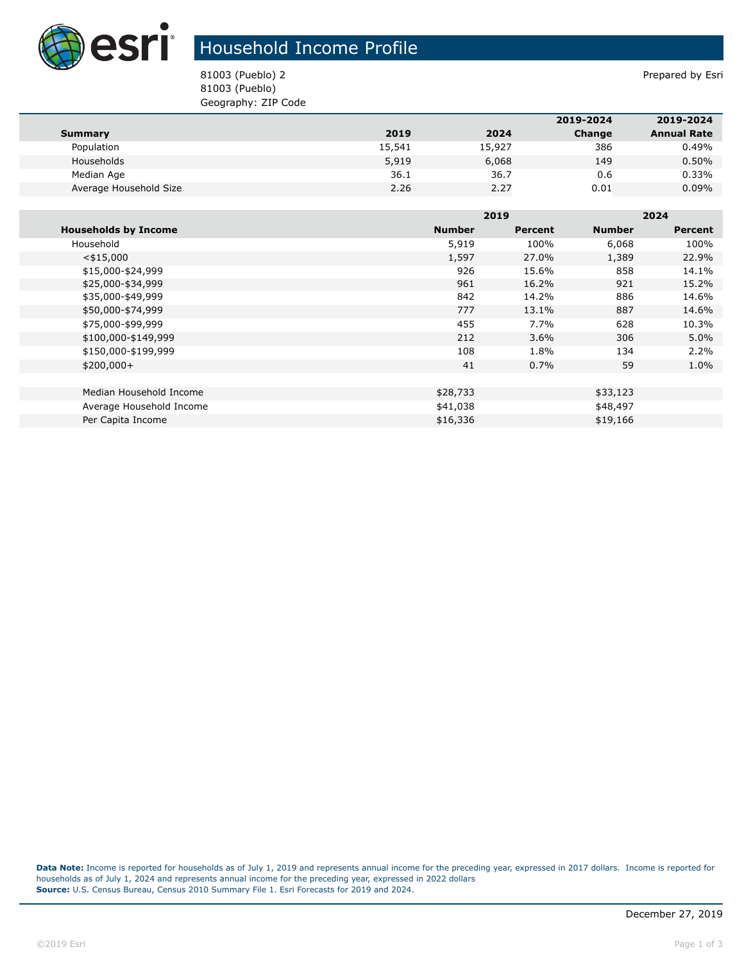

## Household Income Profile

81003 (Pueblo) 2 Prepared by Esri 81003 (Pueblo) Geography: ZIP Code

|                        |        |        | 2019-2024 | 2019-2024          |
|------------------------|--------|--------|-----------|--------------------|
| Summary                | 2019   | 2024   | Change    | <b>Annual Rate</b> |
| Population             | 15,541 | 15,927 | 386       | 0.49%              |
| Households             | 5,919  | 6,068  | 149       | 0.50%              |
| Median Age             | 36.1   | 36.7   | 0.6       | 0.33%              |
| Average Household Size | 2.26   | 2.27   | 0.01      | $0.09\%$           |

|                             |               | 2019    |               | 2024           |  |
|-----------------------------|---------------|---------|---------------|----------------|--|
| <b>Households by Income</b> | <b>Number</b> | Percent | <b>Number</b> | <b>Percent</b> |  |
| Household                   | 5,919         | 100%    | 6,068         | 100%           |  |
| $<$ \$15,000                | 1,597         | 27.0%   | 1,389         | 22.9%          |  |
| \$15,000-\$24,999           | 926           | 15.6%   | 858           | 14.1%          |  |
| \$25,000-\$34,999           | 961           | 16.2%   | 921           | 15.2%          |  |
| \$35,000-\$49,999           | 842           | 14.2%   | 886           | 14.6%          |  |
| \$50,000-\$74,999           | 777           | 13.1%   | 887           | 14.6%          |  |
| \$75,000-\$99,999           | 455           | 7.7%    | 628           | 10.3%          |  |
| \$100,000-\$149,999         | 212           | $3.6\%$ | 306           | 5.0%           |  |
| \$150,000-\$199,999         | 108           | 1.8%    | 134           | 2.2%           |  |
| $$200,000+$                 | 41            | 0.7%    | 59            | 1.0%           |  |
|                             |               |         |               |                |  |
| Median Household Income     | \$28,733      |         | \$33,123      |                |  |
| Average Household Income    | \$41,038      |         | \$48,497      |                |  |
| Per Capita Income           | \$16,336      |         | \$19,166      |                |  |

**Data Note:** Income is reported for households as of July 1, 2019 and represents annual income for the preceding year, expressed in 2017 dollars. Income is reported for households as of July 1, 2024 and represents annual income for the preceding year, expressed in 2022 dollars **Source:** U.S. Census Bureau, Census 2010 Summary File 1. Esri Forecasts for 2019 and 2024.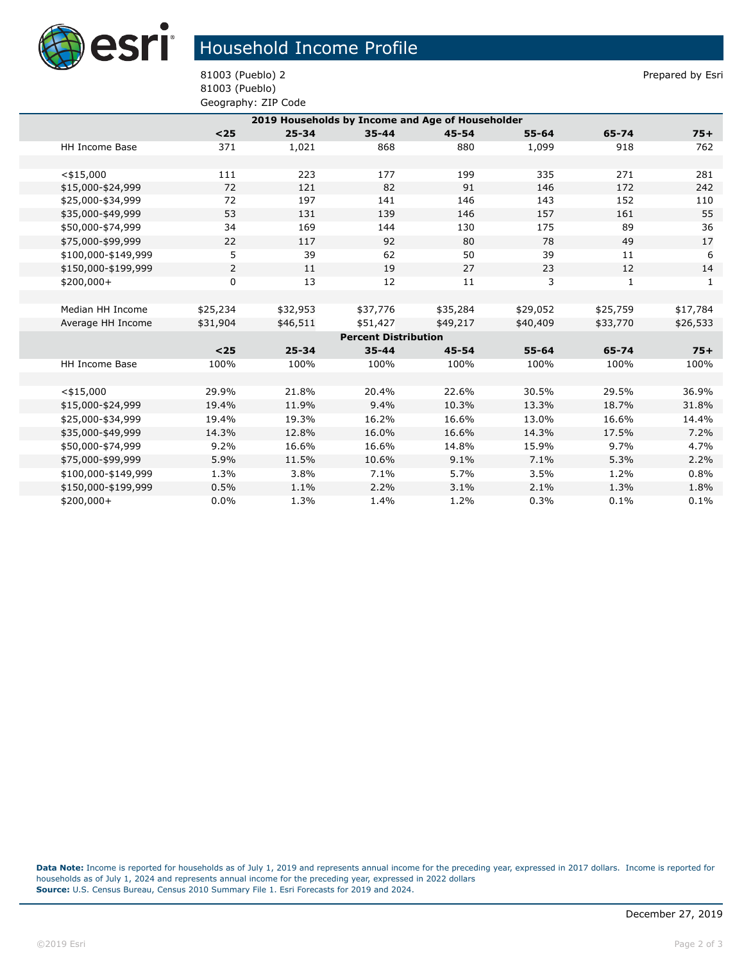

## Household Income Profile

81003 (Pueblo) 2 Prepared by Esri 81003 (Pueblo) Geography: ZIP Code

| 2019 Households by Income and Age of Householder |                |           |           |           |           |              |          |  |
|--------------------------------------------------|----------------|-----------|-----------|-----------|-----------|--------------|----------|--|
|                                                  | $25$           | $25 - 34$ | $35 - 44$ | $45 - 54$ | $55 - 64$ | 65-74        | $75+$    |  |
| HH Income Base                                   | 371            | 1,021     | 868       | 880       | 1,099     | 918          | 762      |  |
|                                                  |                |           |           |           |           |              |          |  |
| $<$ \$15,000                                     | 111            | 223       | 177       | 199       | 335       | 271          | 281      |  |
| \$15,000-\$24,999                                | 72             | 121       | 82        | 91        | 146       | 172          | 242      |  |
| \$25,000-\$34,999                                | 72             | 197       | 141       | 146       | 143       | 152          | 110      |  |
| \$35,000-\$49,999                                | 53             | 131       | 139       | 146       | 157       | 161          | 55       |  |
| \$50,000-\$74,999                                | 34             | 169       | 144       | 130       | 175       | 89           | 36       |  |
| \$75,000-\$99,999                                | 22             | 117       | 92        | 80        | 78        | 49           | 17       |  |
| \$100,000-\$149,999                              | 5              | 39        | 62        | 50        | 39        | 11           | 6        |  |
| \$150,000-\$199,999                              | $\overline{2}$ | 11        | 19        | 27        | 23        | 12           | 14       |  |
| $$200,000+$                                      | 0              | 13        | 12        | 11        | 3         | $\mathbf{1}$ | 1        |  |
|                                                  |                |           |           |           |           |              |          |  |
| Median HH Income                                 | \$25,234       | \$32,953  | \$37,776  | \$35,284  | \$29,052  | \$25,759     | \$17,784 |  |
| Average HH Income                                | \$31,904       | \$46,511  | \$51,427  | \$49,217  | \$40,409  | \$33,770     | \$26,533 |  |
| <b>Percent Distribution</b>                      |                |           |           |           |           |              |          |  |
|                                                  | $25$           | $25 - 34$ | $35 - 44$ | $45 - 54$ | $55 - 64$ | 65-74        | $75+$    |  |
| HH Income Base                                   | 100%           | 100%      | 100%      | 100%      | 100%      | 100%         | 100%     |  |
|                                                  |                |           |           |           |           |              |          |  |
| $<$ \$15,000                                     | 29.9%          | 21.8%     | 20.4%     | 22.6%     | 30.5%     | 29.5%        | 36.9%    |  |
| \$15,000-\$24,999                                | 19.4%          | 11.9%     | 9.4%      | 10.3%     | 13.3%     | 18.7%        | 31.8%    |  |
| \$25,000-\$34,999                                | 19.4%          | 19.3%     | 16.2%     | 16.6%     | 13.0%     | 16.6%        | 14.4%    |  |
| \$35,000-\$49,999                                | 14.3%          | 12.8%     | 16.0%     | 16.6%     | 14.3%     | 17.5%        | 7.2%     |  |
| \$50,000-\$74,999                                | 9.2%           | 16.6%     | 16.6%     | 14.8%     | 15.9%     | 9.7%         | 4.7%     |  |
| \$75,000-\$99,999                                | 5.9%           | 11.5%     | 10.6%     | 9.1%      | 7.1%      | 5.3%         | 2.2%     |  |
| \$100,000-\$149,999                              | 1.3%           | 3.8%      | 7.1%      | 5.7%      | 3.5%      | 1.2%         | 0.8%     |  |
| \$150,000-\$199,999                              | 0.5%           | 1.1%      | 2.2%      | 3.1%      | 2.1%      | 1.3%         | 1.8%     |  |
| \$200,000+                                       | 0.0%           | 1.3%      | 1.4%      | 1.2%      | 0.3%      | 0.1%         | 0.1%     |  |

**Data Note:** Income is reported for households as of July 1, 2019 and represents annual income for the preceding year, expressed in 2017 dollars. Income is reported for households as of July 1, 2024 and represents annual income for the preceding year, expressed in 2022 dollars **Source:** U.S. Census Bureau, Census 2010 Summary File 1. Esri Forecasts for 2019 and 2024.